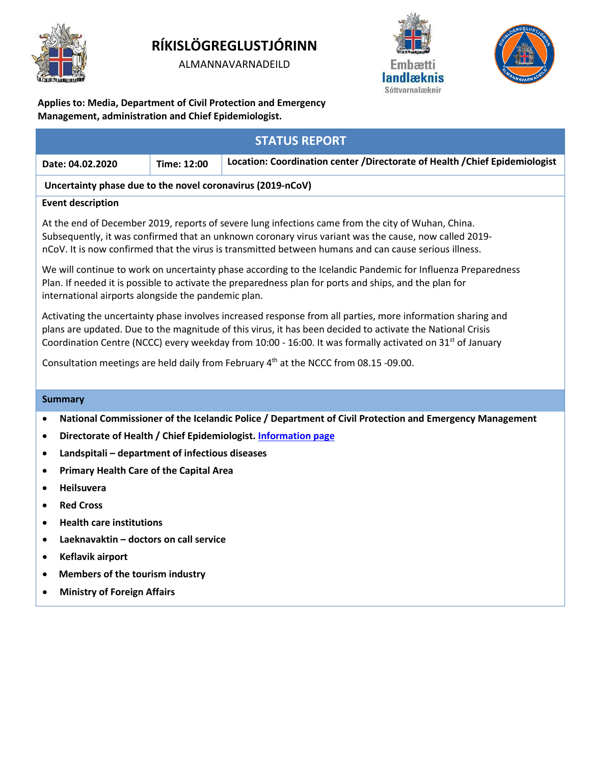

# **RÍKISLÖGREGLUSTJÓRINN**

ALMANNAVARNADEILD





**Applies to: Media, Department of Civil Protection and Emergency Management, administration and Chief Epidemiologist.**

| <b>STATUS REPORT</b>                                                                                                                                                                                                                                                                                                                               |                                                                                                         |             |                                                                              |
|----------------------------------------------------------------------------------------------------------------------------------------------------------------------------------------------------------------------------------------------------------------------------------------------------------------------------------------------------|---------------------------------------------------------------------------------------------------------|-------------|------------------------------------------------------------------------------|
|                                                                                                                                                                                                                                                                                                                                                    | Date: 04.02.2020                                                                                        | Time: 12:00 | Location: Coordination center / Directorate of Health / Chief Epidemiologist |
| Uncertainty phase due to the novel coronavirus (2019-nCoV)                                                                                                                                                                                                                                                                                         |                                                                                                         |             |                                                                              |
| <b>Event description</b>                                                                                                                                                                                                                                                                                                                           |                                                                                                         |             |                                                                              |
| At the end of December 2019, reports of severe lung infections came from the city of Wuhan, China.<br>Subsequently, it was confirmed that an unknown coronary virus variant was the cause, now called 2019-<br>nCoV. It is now confirmed that the virus is transmitted between humans and can cause serious illness.                               |                                                                                                         |             |                                                                              |
| We will continue to work on uncertainty phase according to the Icelandic Pandemic for Influenza Preparedness<br>Plan. If needed it is possible to activate the preparedness plan for ports and ships, and the plan for<br>international airports alongside the pandemic plan.                                                                      |                                                                                                         |             |                                                                              |
| Activating the uncertainty phase involves increased response from all parties, more information sharing and<br>plans are updated. Due to the magnitude of this virus, it has been decided to activate the National Crisis<br>Coordination Centre (NCCC) every weekday from 10:00 - 16:00. It was formally activated on 31 <sup>st</sup> of January |                                                                                                         |             |                                                                              |
| Consultation meetings are held daily from February 4 <sup>th</sup> at the NCCC from 08.15 -09.00.                                                                                                                                                                                                                                                  |                                                                                                         |             |                                                                              |
| <b>Summary</b>                                                                                                                                                                                                                                                                                                                                     |                                                                                                         |             |                                                                              |
| ٠                                                                                                                                                                                                                                                                                                                                                  | National Commissioner of the Icelandic Police / Department of Civil Protection and Emergency Management |             |                                                                              |
| $\bullet$                                                                                                                                                                                                                                                                                                                                          | Directorate of Health / Chief Epidemiologist. Information page                                          |             |                                                                              |
| $\bullet$                                                                                                                                                                                                                                                                                                                                          | Landspitali - department of infectious diseases                                                         |             |                                                                              |
| $\bullet$                                                                                                                                                                                                                                                                                                                                          | <b>Primary Health Care of the Capital Area</b>                                                          |             |                                                                              |
| $\bullet$                                                                                                                                                                                                                                                                                                                                          | Heilsuvera                                                                                              |             |                                                                              |
| $\bullet$                                                                                                                                                                                                                                                                                                                                          | <b>Red Cross</b>                                                                                        |             |                                                                              |
| $\bullet$                                                                                                                                                                                                                                                                                                                                          | <b>Health care institutions</b>                                                                         |             |                                                                              |
| $\bullet$                                                                                                                                                                                                                                                                                                                                          | Laeknavaktin - doctors on call service                                                                  |             |                                                                              |
| ٠                                                                                                                                                                                                                                                                                                                                                  | Keflavik airport                                                                                        |             |                                                                              |
|                                                                                                                                                                                                                                                                                                                                                    | Members of the tourism industry                                                                         |             |                                                                              |
| $\bullet$                                                                                                                                                                                                                                                                                                                                          | <b>Ministry of Foreign Affairs</b>                                                                      |             |                                                                              |
|                                                                                                                                                                                                                                                                                                                                                    |                                                                                                         |             |                                                                              |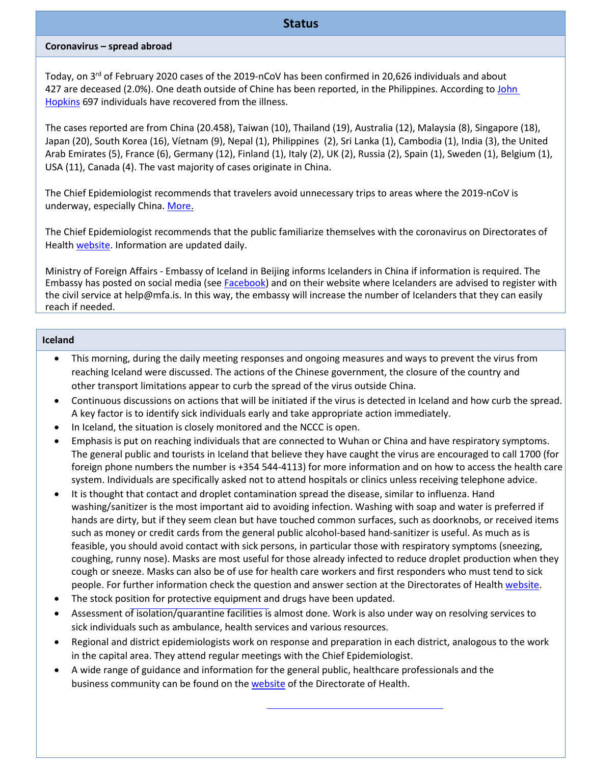# **Coronavirus – spread abroad**

Today, on 3<sup>rd</sup> of February 2020 cases of the 2019-nCoV has been confirmed in 20,626 individuals and about 427 are deceased (2.0%). One death outside of Chine has been reported, in the Philippines. According to John [Hopkins](https://gisanddata.maps.arcgis.com/apps/opsdashboard/index.html#/bda7594740fd40299423467b48e9ecf6) 697 individuals have recovered from the illness.

The cases reported are from China (20.458), Taiwan (10), Thailand (19), Australia (12), Malaysia (8), Singapore (18), Japan (20), South Korea (16), Víetnam (9), Nepal (1), Philippines (2), Sri Lanka (1), Cambodia (1), India (3), the United Arab Emirates (5), France (6), Germany (12), Finland (1), Italy (2), UK (2), Russia (2), Spain (1), Sweden (1), Belgium (1), USA (11), Canada (4). The vast majority of cases originate in China.

The Chief Epidemiologist recommends that travelers avoid unnecessary trips to areas where the 2019-nCoV is underway, especially China. [More.](https://www.landlaeknir.is/um-embaettid/frettir/frett/item38860/Radleggingar-til-ferdamanna---Koronaveira-2019-nCoV)

The Chief Epidemiologist recommends that the public familiarize themselves with the coronavirus on Directorates of Health [website.](https://www.landlaeknir.is/koronaveira/english/) Information are updated daily.

Ministry of Foreign Affairs - Embassy of Iceland in Beijing informs Icelanders in China if information is required. The Embassy has posted on social media (see [Facebook\)](https://www.facebook.com/utanrikisthjonustan/) and on their website where Icelanders are advised to register with the civil service at help@mfa.is. In this way, the embassy will increase the number of Icelanders that they can easily reach if needed.

# **Iceland**

- This morning, during the daily meeting responses and ongoing measures and ways to prevent the virus from reaching Iceland were discussed. The actions of the Chinese government, the closure of the country and other transport limitations appear to curb the spread of the virus outside China.
- Continuous discussions on actions that will be initiated if the virus is detected in Iceland and how curb the spread. A key factor is to identify sick individuals early and take appropriate action immediately.
- In Iceland, the situation is closely monitored and the NCCC is open.
- Emphasis is put on reaching individuals that are connected to Wuhan or China and have respiratory symptoms. The general public and tourists in Iceland that believe they have caught the virus are encouraged to call 1700 (for foreign phone numbers the number is +354 544-4113) for more information and on how to access the health care system. Individuals are specifically asked not to attend hospitals or clinics unless receiving telephone advice.
- It is thought that contact and droplet contamination spread the disease, similar to influenza. Hand washing/sanitizer is the most important aid to avoiding infection. Washing with soap and water is preferred if hands are dirty, but if they seem clean but have touched common surfaces, such as doorknobs, or received items such as money or credit cards from the general public alcohol-based hand-sanitizer is useful. As much as is feasible, you should avoid contact with sick persons, in particular those with respiratory symptoms (sneezing, coughing, runny nose). Masks are most useful for those already infected to reduce droplet production when they cough or sneeze. Masks can also be of use for health care workers and first responders who must tend to sick people. For further information check the question and answer section at the Directorates of Healt[h website.](https://www.landlaeknir.is/um-embaettid/greinar/grein/item38808/Questions-and-answers-regarding-novel-coronavirus-in-China)
- The stock position for protective equipment and drugs have been updated.
- Assessment of isolation/quarantine facilities is almost done. Work is also under way on resolving services to sick individuals such as ambulance, health services and various resources.
- Regional and district epidemiologists work on response and preparation in each district, analogous to the work in the capital area. They attend regular meetings with the Chief Epidemiologist.
- A wide range of guidance and information for the general public, healthcare professionals and the business community can be found on th[e website](https://www.landlaeknir.is/koronaveira/english/) of the Directorate of Health.